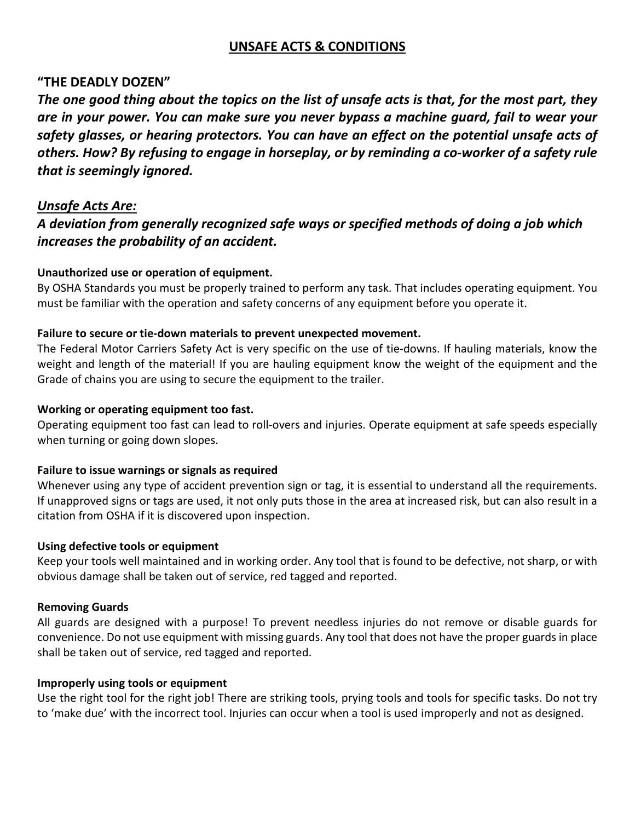# **UNSAFE ACTS & CONDITIONS**

## **"THE DEADLY DOZEN"**

*The one good thing about the topics on the list of unsafe acts is that, for the most part, they are in your power. You can make sure you never bypass a machine guard, fail to wear your safety glasses, or hearing protectors. You can have an effect on the potential unsafe acts of others. How? By refusing to engage in horseplay, or by reminding a co-worker of a safety rule that is seemingly ignored.*

## *Unsafe Acts Are:*

# *A deviation from generally recognized safe ways or specified methods of doing a job which increases the probability of an accident.*

## **Unauthorized use or operation of equipment.**

By OSHA Standards you must be properly trained to perform any task. That includes operating equipment. You must be familiar with the operation and safety concerns of any equipment before you operate it.

## **Failure to secure or tie-down materials to prevent unexpected movement.**

The Federal Motor Carriers Safety Act is very specific on the use of tie-downs. If hauling materials, know the weight and length of the material! If you are hauling equipment know the weight of the equipment and the Grade of chains you are using to secure the equipment to the trailer.

## **Working or operating equipment too fast.**

Operating equipment too fast can lead to roll-overs and injuries. Operate equipment at safe speeds especially when turning or going down slopes.

## **Failure to issue warnings or signals as required**

Whenever using any type of accident prevention sign or tag, it is essential to understand all the requirements. If unapproved signs or tags are used, it not only puts those in the area at increased risk, but can also result in a citation from OSHA if it is discovered upon inspection.

## **Using defective tools or equipment**

Keep your tools well maintained and in working order. Any tool that is found to be defective, not sharp, or with obvious damage shall be taken out of service, red tagged and reported.

## **Removing Guards**

All guards are designed with a purpose! To prevent needless injuries do not remove or disable guards for convenience. Do not use equipment with missing guards. Any tool that does not have the proper guards in place shall be taken out of service, red tagged and reported.

## **Improperly using tools or equipment**

Use the right tool for the right job! There are striking tools, prying tools and tools for specific tasks. Do not try to 'make due' with the incorrect tool. Injuries can occur when a tool is used improperly and not as designed.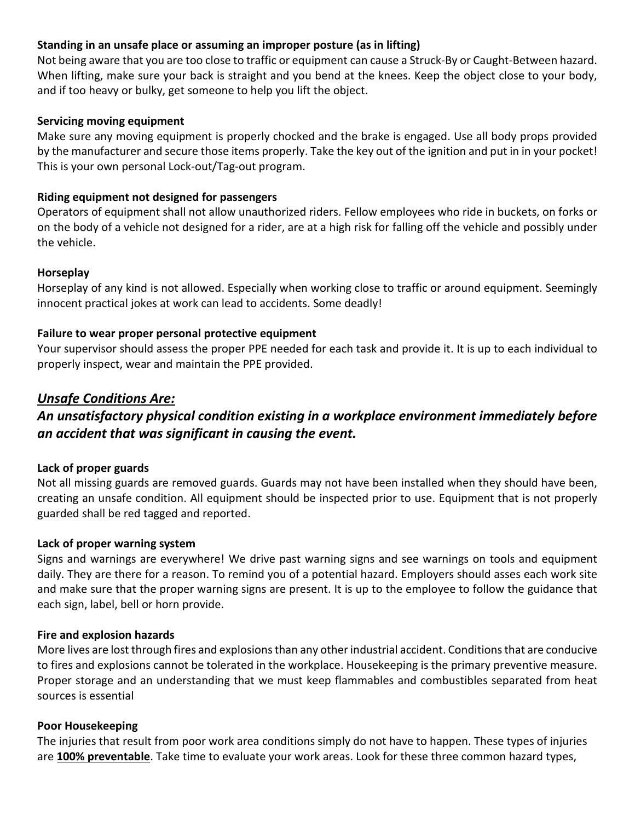## **Standing in an unsafe place or assuming an improper posture (as in lifting)**

Not being aware that you are too close to traffic or equipment can cause a Struck-By or Caught-Between hazard. When lifting, make sure your back is straight and you bend at the knees. Keep the object close to your body, and if too heavy or bulky, get someone to help you lift the object.

#### **Servicing moving equipment**

Make sure any moving equipment is properly chocked and the brake is engaged. Use all body props provided by the manufacturer and secure those items properly. Take the key out of the ignition and put in in your pocket! This is your own personal Lock-out/Tag-out program.

## **Riding equipment not designed for passengers**

Operators of equipment shall not allow unauthorized riders. Fellow employees who ride in buckets, on forks or on the body of a vehicle not designed for a rider, are at a high risk for falling off the vehicle and possibly under the vehicle.

#### **Horseplay**

Horseplay of any kind is not allowed. Especially when working close to traffic or around equipment. Seemingly innocent practical jokes at work can lead to accidents. Some deadly!

## **Failure to wear proper personal protective equipment**

Your supervisor should assess the proper PPE needed for each task and provide it. It is up to each individual to properly inspect, wear and maintain the PPE provided.

## *Unsafe Conditions Are:*

# *An unsatisfactory physical condition existing in a workplace environment immediately before an accident that was significant in causing the event.*

## **Lack of proper guards**

Not all missing guards are removed guards. Guards may not have been installed when they should have been, creating an unsafe condition. All equipment should be inspected prior to use. Equipment that is not properly guarded shall be red tagged and reported.

#### **Lack of proper warning system**

Signs and warnings are everywhere! We drive past warning signs and see warnings on tools and equipment daily. They are there for a reason. To remind you of a potential hazard. Employers should asses each work site and make sure that the proper warning signs are present. It is up to the employee to follow the guidance that each sign, label, bell or horn provide.

#### **Fire and explosion hazards**

More lives are lost through fires and explosions than any other industrial accident. Conditions that are conducive to fires and explosions cannot be tolerated in the workplace. Housekeeping is the primary preventive measure. Proper storage and an understanding that we must keep flammables and combustibles separated from heat sources is essential

## **Poor Housekeeping**

The injuries that result from poor work area conditions simply do not have to happen. These types of injuries are **[100% preventable](http://www.safetytalkideas.com/safetytalks/zero-injuries-workplace/)**. Take time to evaluate your work areas. Look for these three common hazard types,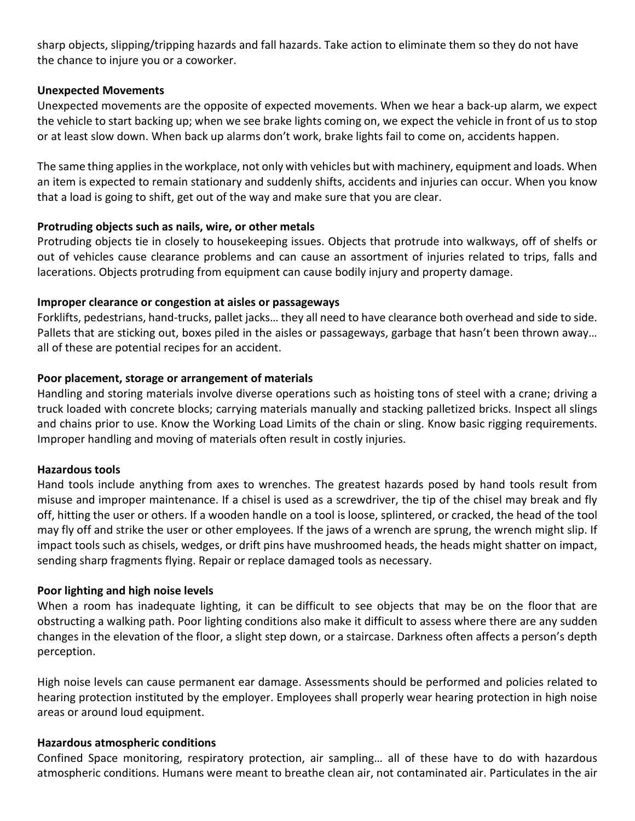sharp objects, slipping/tripping hazards and fall hazards. Take action to eliminate them so they do not have the chance to injure you or a coworker.

## **Unexpected Movements**

Unexpected movements are the opposite of expected movements. When we hear a back-up alarm, we expect the vehicle to start backing up; when we see brake lights coming on, we expect the vehicle in front of us to stop or at least slow down. When back up alarms don't work, brake lights fail to come on, accidents happen.

The same thing applies in the workplace, not only with vehicles but with machinery, equipment and loads. When an item is expected to remain stationary and suddenly shifts, accidents and injuries can occur. When you know that a load is going to shift, get out of the way and make sure that you are clear.

## **Protruding objects such as nails, wire, or other metals**

Protruding objects tie in closely to housekeeping issues. Objects that protrude into walkways, off of shelfs or out of vehicles cause clearance problems and can cause an assortment of injuries related to trips, falls and lacerations. Objects protruding from equipment can cause bodily injury and property damage.

## **Improper clearance or congestion at aisles or passageways**

Forklifts, pedestrians, hand-trucks, pallet jacks… they all need to have clearance both overhead and side to side. Pallets that are sticking out, boxes piled in the aisles or passageways, garbage that hasn't been thrown away… all of these are potential recipes for an accident.

## **Poor placement, storage or arrangement of materials**

Handling and storing materials involve diverse operations such as hoisting tons of steel with a crane; driving a truck loaded with concrete blocks; carrying materials manually and stacking palletized bricks. Inspect all slings and chains prior to use. Know the Working Load Limits of the chain or sling. Know basic rigging requirements. Improper handling and moving of materials often result in costly injuries.

## **Hazardous tools**

Hand tools include anything from axes to wrenches. The greatest hazards posed by hand tools result from misuse and improper maintenance. If a chisel is used as a screwdriver, the tip of the chisel may break and fly off, hitting the user or others. If a wooden handle on a tool is loose, splintered, or cracked, the head of the tool may fly off and strike the user or other employees. If the jaws of a wrench are sprung, the wrench might slip. If impact tools such as chisels, wedges, or drift pins have mushroomed heads, the heads might shatter on impact, sending sharp fragments flying. Repair or replace damaged tools as necessary.

## **Poor lighting and high noise levels**

When a room has inadequate lighting, it can be [difficult](https://www.roothlawfirm.com/nursing-home-neglect-abuse/falls-in-nursing-homes) to see objects that may be on the floor that are obstructing a walking path. Poor lighting conditions also make it difficult to assess where there are any sudden changes in the elevation of the floor, a slight step down, or a staircase. Darkness often affects a person's depth perception.

High noise levels can cause permanent ear damage. Assessments should be performed and policies related to hearing protection instituted by the employer. Employees shall properly wear hearing protection in high noise areas or around loud equipment.

## **Hazardous atmospheric conditions**

Confined Space monitoring, respiratory protection, air sampling… all of these have to do with hazardous atmospheric conditions. Humans were meant to breathe clean air, not contaminated air. Particulates in the air